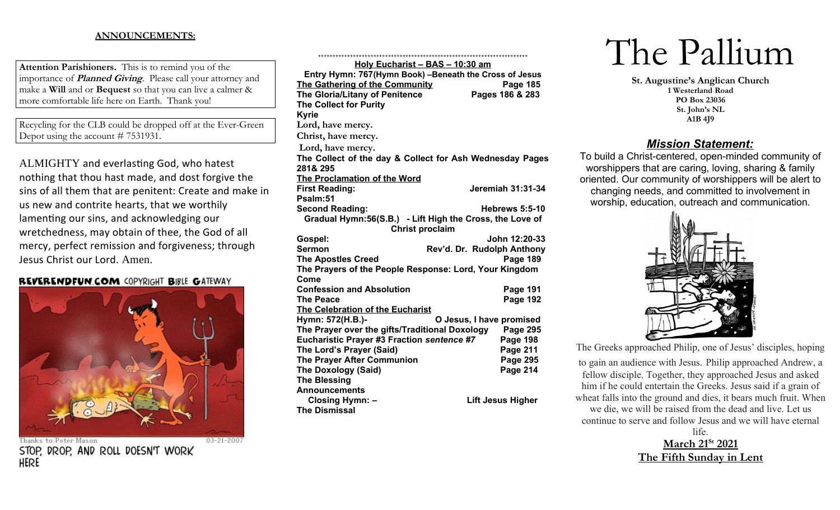## **ANNOUNCEMENTS:**

**Attention Parishioners.** This is to remind you of the importance of **Planned Giving**. Please call your attorney and make a **Will** and or **Bequest** so that you can live a calmer & more comfortable life here on Earth. Thank you!

Recycling for the CLB could be dropped off at the Ever-Green Depot using the account # 7531931.

ALMIGHTY and everlasting God, who hatest nothing that thou hast made, and dost forgive the sins of all them that are penitent: Create and make in us new and contrite hearts, that we worthily lamenting our sins, and acknowledging our wretchedness, may obtain of thee, the God of all mercy, perfect remission and forgiveness; through Jesus Christ our Lord. Amen.

## **REVERENDFUN.COM COPYRIGHT BIBLE GATEWAY**



 $03 - 21 - 2007$ 

Thanks to Peter Mason STOP, DROP, AND ROLL DOESN'T WORK HERE

| Holy Eucharist - BAS - 10:30 am                          |                            |  |
|----------------------------------------------------------|----------------------------|--|
| Entry Hymn: 767(Hymn Book) -Beneath the Cross of Jesus   |                            |  |
| The Gathering of the Community                           | Page 185                   |  |
| The Gloria/Litany of Penitence                           | Pages 186 & 283            |  |
| <b>The Collect for Purity</b>                            |                            |  |
| <b>Kyrie</b>                                             |                            |  |
| Lord, have mercy.                                        |                            |  |
| Christ, have mercy.                                      |                            |  |
| Lord, have mercy.                                        |                            |  |
| The Collect of the day & Collect for Ash Wednesday Pages |                            |  |
| 281& 295                                                 |                            |  |
| The Proclamation of the Word                             |                            |  |
| <b>First Reading:</b>                                    | <b>Jeremiah 31:31-34</b>   |  |
| Psalm:51                                                 |                            |  |
| <b>Second Reading:</b>                                   | <b>Hebrews 5:5-10</b>      |  |
| Gradual Hymn:56(S.B.) - Lift High the Cross, the Love of |                            |  |
| <b>Christ proclaim</b>                                   |                            |  |
| Gospel:                                                  | John 12:20-33              |  |
| Sermon                                                   | Rev'd. Dr. Rudolph Anthony |  |
| <b>The Apostles Creed</b>                                | <b>Page 189</b>            |  |
| The Prayers of the People Response: Lord, Your Kingdom   |                            |  |
| Come<br><b>Confession and Absolution</b>                 | <b>Page 191</b>            |  |
| <b>The Peace</b>                                         | <b>Page 192</b>            |  |
| The Celebration of the Eucharist                         |                            |  |
| Hymn: 572(H.B.)-<br>O Jesus, I have promised             |                            |  |
| The Prayer over the gifts/Traditional Doxology           | <b>Page 295</b>            |  |
| Eucharistic Prayer #3 Fraction sentence #7               | Page 198                   |  |
| The Lord's Prayer (Said)                                 | <b>Page 211</b>            |  |
| <b>The Prayer After Communion</b>                        | <b>Page 295</b>            |  |
| <b>The Doxology (Said)</b>                               | Page 214                   |  |
| <b>The Blessing</b>                                      |                            |  |
| <b>Announcements</b>                                     |                            |  |
| Closing Hymn: -                                          | <b>Lift Jesus Higher</b>   |  |
| <b>The Dismissal</b>                                     |                            |  |

++++++++++++++++++++++++++++++++++++++++++++++++++++++++++++++++++++++++

# The Pallium

**St. Augustine's Anglican Church 1 Westerland Road PO Box 23036 St. John's NL A1B 4J9**

# *Mission Statement:*

To build a Christ-centered, open-minded community of worshippers that are caring, loving, sharing & family oriented. Our community of worshippers will be alert to changing needs, and committed to involvement in worship, education, outreach and communication.



The Greeks approached Philip, one of Jesus' disciples, hoping to gain an audience with Jesus. Philip approached Andrew, a fellow disciple. Together, they approached Jesus and asked him if he could entertain the Greeks. Jesus said if a grain of wheat falls into the ground and dies, it bears much fruit. When we die, we will be raised from the dead and live. Let us continue to serve and follow Jesus and we will have eternal life.

 **March 21St 2021 The Fifth Sunday in Lent**